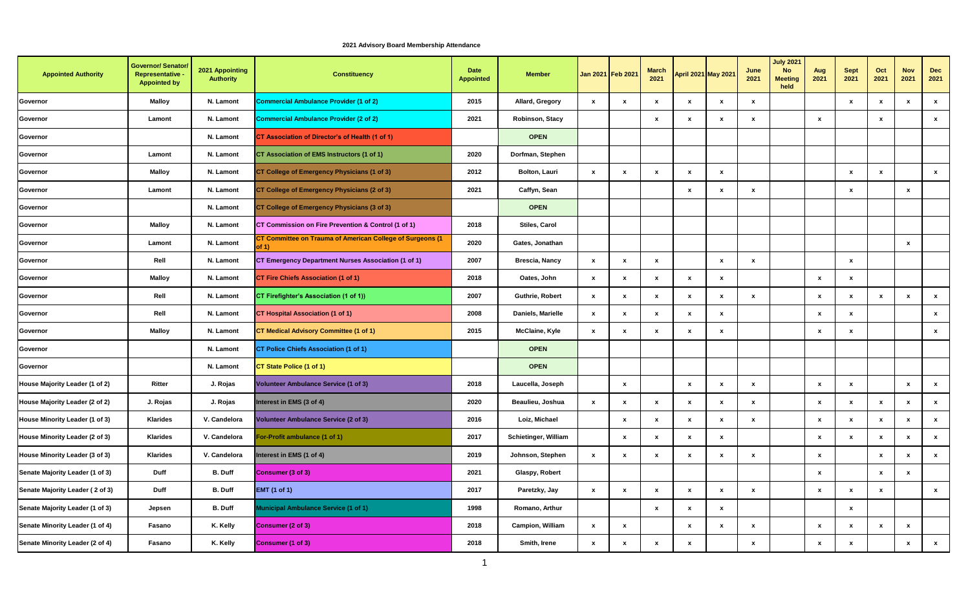## **Appointed Authority** Governor/ Senator **Representative - Appointed by 2021 Appointing Authority Constituency Date Appointed Member Jan 2021 Feb 2021 March <sup>2021</sup> April 2021 May 2021 June 2021 July 2021 No Meeting held Aug 2021 Sept 2021 Oct 2021 Nov 2021 Dec 2021 Governor Malloy N. Lamont Commercial Ambulance Provider (1 of 2) 2015 Allard, Gregory x x x x x x x x x x Governor Lamont N. Lamont Commercial Ambulance Provider (2 of 2) 2021 Robinson, Stacy x x x x x x x Governor N. Lamont CT Association of Director's of Health (1 of 1) CTEN OPEN Governor Lamont N. Lamont CT Association of EMS Instructors (1 of 1) 2020 Dorfman, Stephen Governor Malloy N. Lamont CT College of Emergency Physicians (1 of 3) 2012 Bolton, Lauri x x x x x x x x Governor Lamont N. Lamont CT College of Emergency Physicians (2 of 3) 2021 Caffyn, Sean x x x x x Governor N. Lamont CT College of Emergency Physicians (3 of 3) COLLEGE ASSAULT AND ASSAULT COLLEGE ASSAULT AND REM Governor Malloy N. Lamont CT Commission on Fire Prevention & Control (1 of 1) 2018 Stiles, Carol Governor Lamont N. Lamont CT Committee on Trauma of American College of Surgeons (1**  of 1) **2020 Gates, Jonathan Consumers and Consumers and Cates, Jonathan <b>Consumers and Consumers and Consumers and Consumers and Consumers and Consumers and Consumers and Consumers and Consumers and Consumers and Consume Governor Rell N. Lamont CT Emergency Department Nurses Association (1 of 1) 2007 Brescia, Nancy x x x x x x Governor Malloy N. Lamont CT Fire Chiefs Association (1 of 1) 2018 Oates, John x x x x x x x Governor Rell N. Lamont CT Firefighter's Association (1 of 1)) 2007 Guthrie, Robert x x x x x x x x x x x Governor Rell N. Lamont CT Hospital Association (1 of 1) 2008 Daniels, Marielle x x x x x x x x Governor Malloy N. Lamont CT Medical Advisory Committee (1 of 1) 2015 McClaine, Kyle x x x x x x x x Governor N. Lamont CT Police Chiefs Association (1 of 1) CHIPS ASSOCIATION Governor N. Lamont CT State Police (1 of 1) COVEN COVEN House Majority Leader (1 of 2) Ritter J. Rojas Volunteer Ambulance Service (1 of 3) 2018 Laucella, Joseph x x x x x x x x House Majority Leader (2 of 2) J. Rojas J. Rojas Interest in EMS (3 of 4) 2020 Beaulieu, Joshua x x x x x x x x x x x House Minority Leader (1 of 3) Klarides V. Candelora Volunteer Ambulance Service (2 of 3) 2016 Loiz, Michael x x x x x x x x x x House Minority Leader (2 of 3) Klarides V. Candelora For-Profit ambulance (1 of 1) 2017 Schietinger, William x x x x x x x x x House Minority Leader (3 of 3) Klarides V. Candelora Interest in EMS (1 of 4) 2019 Johnson, Stephen x x x x x x x x x x Senate Majority Leader (1 of 3) Duff B. Duff Consumer (3 of 3) 2021 Glaspy, Robert x x x Senate Majority Leader ( 2 of 3) Duff B. Duff EMT (1 of 1) 2017 Paretzky, Jay x x x x x x x x x x Senate Majority Leader (1 of 3) Jepsen B. Duff Municipal Ambulance Service (1 of 1) 1998 Romano, Arthur x x x x Senate Minority Leader (1 of 4) Fasano K. Kelly Consumer (2 of 3) 2018 Campion, William x x x x x x x x x Senate Minority Leader (2 of 4) Fasano K. Kelly Consumer (1 of 3) 2018 Smith, Irene x x x x x x x x x**

## **2021 Advisory Board Membership Attendance**